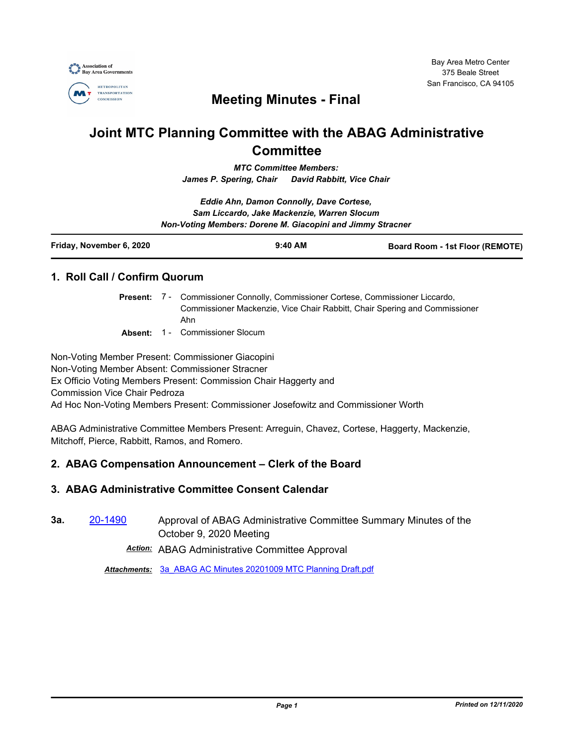

## **Meeting Minutes - Final**

# **Joint MTC Planning Committee with the ABAG Administrative Committee**

*MTC Committee Members: James P. Spering, Chair David Rabbitt, Vice Chair*

*Eddie Ahn, Damon Connolly, Dave Cortese, Sam Liccardo, Jake Mackenzie, Warren Slocum Non-Voting Members: Dorene M. Giacopini and Jimmy Stracner*

| Friday, November 6, 2020 | $9:40$ AM | <b>Board Room - 1st Floor (REMOTE)</b> |
|--------------------------|-----------|----------------------------------------|
|                          |           |                                        |

## **1. Roll Call / Confirm Quorum**

- Present: 7 Commissioner Connolly, Commissioner Cortese, Commissioner Liccardo, Commissioner Mackenzie, Vice Chair Rabbitt, Chair Spering and Commissioner Ahn
- **Absent:** 1 Commissioner Slocum

Non-Voting Member Present: Commissioner Giacopini Non-Voting Member Absent: Commissioner Stracner Ex Officio Voting Members Present: Commission Chair Haggerty and Commission Vice Chair Pedroza Ad Hoc Non-Voting Members Present: Commissioner Josefowitz and Commissioner Worth

ABAG Administrative Committee Members Present: Arreguin, Chavez, Cortese, Haggerty, Mackenzie, Mitchoff, Pierce, Rabbitt, Ramos, and Romero.

## **2. ABAG Compensation Announcement – Clerk of the Board**

## **3. ABAG Administrative Committee Consent Calendar**

**3a.** [20-1490](http://mtc.legistar.com/gateway.aspx?m=l&id=/matter.aspx?key=21355) Approval of ABAG Administrative Committee Summary Minutes of the October 9, 2020 Meeting

*Action:* ABAG Administrative Committee Approval

*Attachments:* [3a\\_ABAG AC Minutes 20201009 MTC Planning Draft.pdf](http://mtc.legistar.com/gateway.aspx?M=F&ID=eb49bb1e-a7f0-4d88-bf5d-66a3bd38a93a.pdf)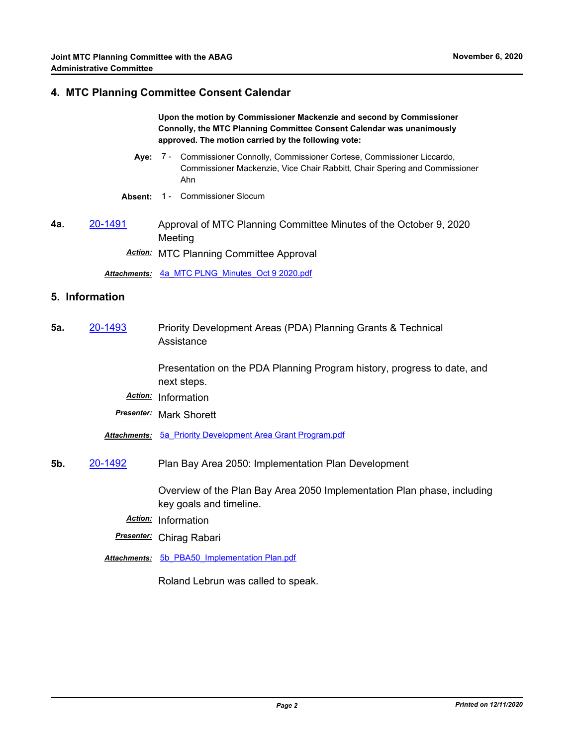#### **4. MTC Planning Committee Consent Calendar**

**Upon the motion by Commissioner Mackenzie and second by Commissioner Connolly, the MTC Planning Committee Consent Calendar was unanimously approved. The motion carried by the following vote:**

- Aye: 7 Commissioner Connolly, Commissioner Cortese, Commissioner Liccardo, Commissioner Mackenzie, Vice Chair Rabbitt, Chair Spering and Commissioner Ahn
- **Absent:** 1 Commissioner Slocum
- **4a.** [20-1491](http://mtc.legistar.com/gateway.aspx?m=l&id=/matter.aspx?key=21356) Approval of MTC Planning Committee Minutes of the October 9, 2020 Meeting

*Action:* MTC Planning Committee Approval

*Attachments:* [4a\\_MTC PLNG\\_Minutes\\_Oct 9 2020.pdf](http://mtc.legistar.com/gateway.aspx?M=F&ID=f9bb3b9d-2ee7-4ee2-a77e-a4de224afcff.pdf)

#### **5. Information**

**5a.** [20-1493](http://mtc.legistar.com/gateway.aspx?m=l&id=/matter.aspx?key=21358) Priority Development Areas (PDA) Planning Grants & Technical Assistance

> Presentation on the PDA Planning Program history, progress to date, and next steps.

- *Action:* Information
- *Presenter:* Mark Shorett

*Attachments:* [5a\\_Priority Development Area Grant Program.pdf](http://mtc.legistar.com/gateway.aspx?M=F&ID=afe12f75-5154-4f97-b97a-9a99a849926d.pdf)

**5b.** [20-1492](http://mtc.legistar.com/gateway.aspx?m=l&id=/matter.aspx?key=21357) Plan Bay Area 2050: Implementation Plan Development

Overview of the Plan Bay Area 2050 Implementation Plan phase, including key goals and timeline.

- *Action:* Information
- *Presenter:* Chirag Rabari
- *Attachments:* [5b\\_PBA50\\_Implementation Plan.pdf](http://mtc.legistar.com/gateway.aspx?M=F&ID=c30e0d93-5927-4dc3-a10c-bd60e8a93a89.pdf)

Roland Lebrun was called to speak.